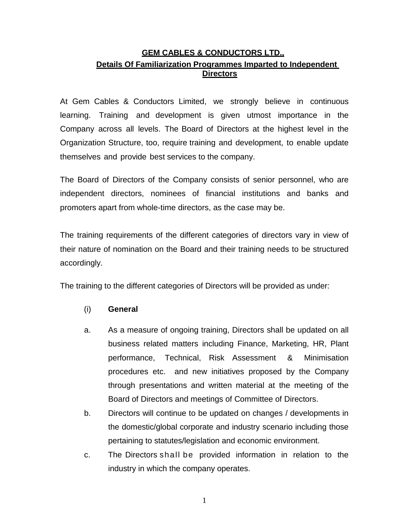## **GEM CABLES & CONDUCTORS LTD., Details Of Familiarization Programmes Imparted to Independent Directors**

At Gem Cables & Conductors Limited, we strongly believe in continuous learning. Training and development is given utmost importance in the Company across all levels. The Board of Directors at the highest level in the Organization Structure, too, require training and development, to enable update themselves and provide best services to the company.

The Board of Directors of the Company consists of senior personnel, who are independent directors, nominees of financial institutions and banks and promoters apart from whole-time directors, as the case may be.

The training requirements of the different categories of directors vary in view of their nature of nomination on the Board and their training needs to be structured accordingly.

The training to the different categories of Directors will be provided as under:

## (i) **General**

- a. As a measure of ongoing training, Directors shall be updated on all business related matters including Finance, Marketing, HR, Plant performance, Technical, Risk Assessment & Minimisation procedures etc. and new initiatives proposed by the Company through presentations and written material at the meeting of the Board of Directors and meetings of Committee of Directors.
- b. Directors will continue to be updated on changes / developments in the domestic/global corporate and industry scenario including those pertaining to statutes/legislation and economic environment.
- c. The Directors shall be provided information in relation to the industry in which the company operates.

1